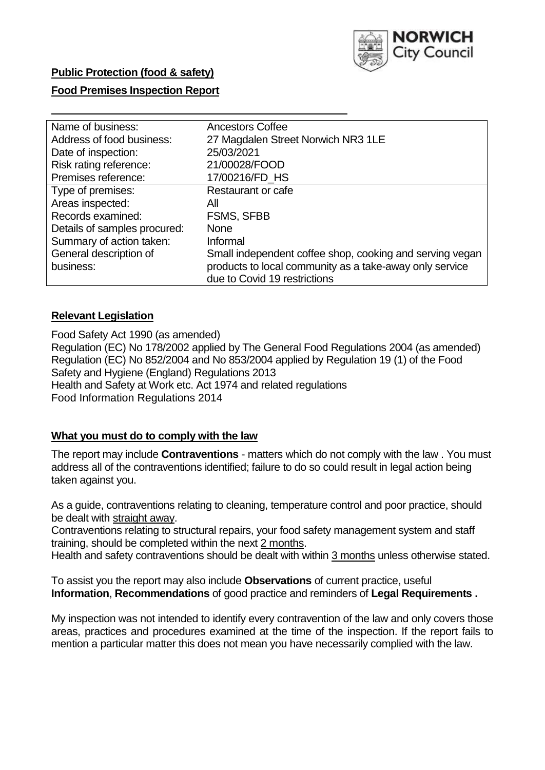

# **Public Protection (food & safety)**

### **Food Premises Inspection Report**

| Name of business:            | <b>Ancestors Coffee</b>                                  |
|------------------------------|----------------------------------------------------------|
| Address of food business:    | 27 Magdalen Street Norwich NR3 1LE                       |
| Date of inspection:          | 25/03/2021                                               |
| Risk rating reference:       | 21/00028/FOOD                                            |
| Premises reference:          | 17/00216/FD_HS                                           |
| Type of premises:            | <b>Restaurant or cafe</b>                                |
| Areas inspected:             | All                                                      |
| Records examined:            | <b>FSMS, SFBB</b>                                        |
| Details of samples procured: | <b>None</b>                                              |
| Summary of action taken:     | Informal                                                 |
| General description of       | Small independent coffee shop, cooking and serving vegan |
| business:                    | products to local community as a take-away only service  |
|                              | due to Covid 19 restrictions                             |

### **Relevant Legislation**

 Food Safety Act 1990 (as amended) Regulation (EC) No 178/2002 applied by The General Food Regulations 2004 (as amended) Regulation (EC) No 852/2004 and No 853/2004 applied by Regulation 19 (1) of the Food Safety and Hygiene (England) Regulations 2013 Health and Safety at Work etc. Act 1974 and related regulations Food Information Regulations 2014

#### **What you must do to comply with the law**

 The report may include **Contraventions** - matters which do not comply with the law . You must address all of the contraventions identified; failure to do so could result in legal action being taken against you.

 As a guide, contraventions relating to cleaning, temperature control and poor practice, should be dealt with straight away.

 Contraventions relating to structural repairs, your food safety management system and staff training, should be completed within the next 2 months.

Health and safety contraventions should be dealt with within 3 months unless otherwise stated.

 To assist you the report may also include **Observations** of current practice, useful **Information**, **Recommendations** of good practice and reminders of **Legal Requirements .** 

 My inspection was not intended to identify every contravention of the law and only covers those areas, practices and procedures examined at the time of the inspection. If the report fails to mention a particular matter this does not mean you have necessarily complied with the law.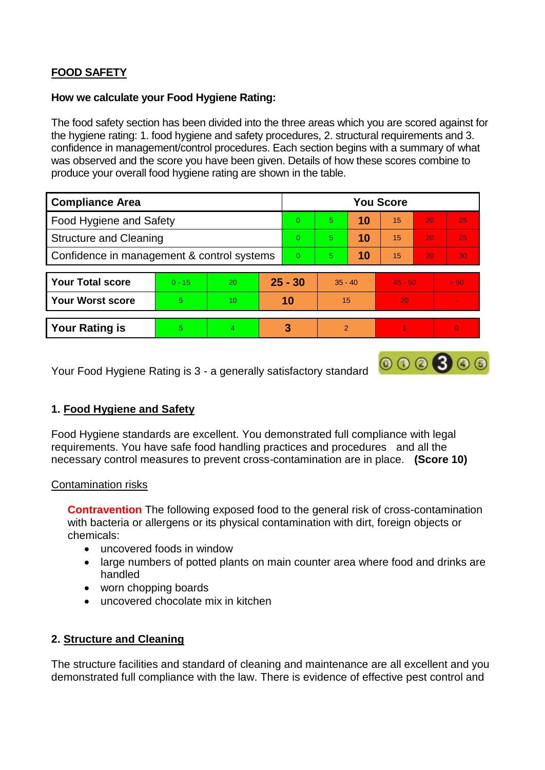# **FOOD SAFETY**

#### **How we calculate your Food Hygiene Rating:**

 The food safety section has been divided into the three areas which you are scored against for the hygiene rating: 1. food hygiene and safety procedures, 2. structural requirements and 3. confidence in management/control procedures. Each section begins with a summary of what was observed and the score you have been given. Details of how these scores combine to produce your overall food hygiene rating are shown in the table.

| <b>Compliance Area</b>                     |          |                  |           | <b>You Score</b> |                |    |           |    |                |  |  |
|--------------------------------------------|----------|------------------|-----------|------------------|----------------|----|-----------|----|----------------|--|--|
| Food Hygiene and Safety                    |          |                  |           | $\Omega$         | 5              | 10 | 15        | 20 | 25             |  |  |
| <b>Structure and Cleaning</b>              |          |                  | $\Omega$  | 5                | 10             | 15 | 20        | 25 |                |  |  |
| Confidence in management & control systems |          |                  | $\Omega$  | 5                | 10             | 15 | 20        | 30 |                |  |  |
|                                            |          |                  |           |                  |                |    |           |    |                |  |  |
| <b>Your Total score</b>                    | $0 - 15$ | 20               | $25 - 30$ |                  | $35 - 40$      |    | $45 - 50$ |    | > 50           |  |  |
| <b>Your Worst score</b>                    | 5        | 10 <sup>10</sup> | 10        |                  | 15             |    | 20        |    | $\blacksquare$ |  |  |
|                                            |          |                  |           |                  |                |    |           |    |                |  |  |
| <b>Your Rating is</b>                      | 5        | $\overline{4}$   |           | 3                | $\overline{2}$ |    |           |    |                |  |  |

 $000000$ 

Your Food Hygiene Rating is 3 - a generally satisfactory standard

# **1. Food Hygiene and Safety**

 requirements. You have safe food handling practices and procedures and all the Food Hygiene standards are excellent. You demonstrated full compliance with legal necessary control measures to prevent cross-contamination are in place. **(Score 10)** 

#### Contamination risks

 **Contravention** The following exposed food to the general risk of cross-contamination with bacteria or allergens or its physical contamination with dirt, foreign objects or chemicals:

- uncovered foods in window
- large numbers of potted plants on main counter area where food and drinks are handled
- worn chopping boards
- uncovered chocolate mix in kitchen

#### **2. Structure and Cleaning**

The structure facilities and standard of cleaning and maintenance are all excellent and you demonstrated full compliance with the law. There is evidence of effective pest control and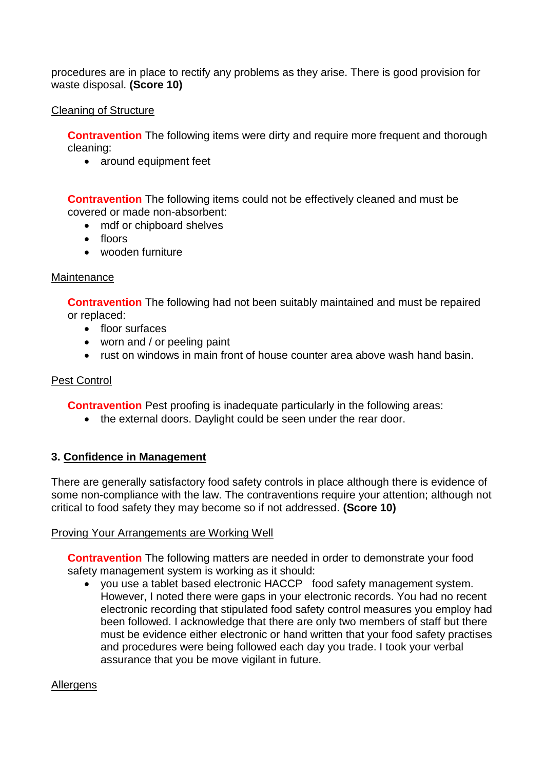procedures are in place to rectify any problems as they arise. There is good provision for waste disposal. **(Score 10)** 

### Cleaning of Structure

**Contravention** The following items were dirty and require more frequent and thorough cleaning:

• around equipment feet

 **Contravention** The following items could not be effectively cleaned and must be covered or made non-absorbent:

- mdf or chipboard shelves
- floors
- wooden furniture

#### **Maintenance**

**Contravention** The following had not been suitably maintained and must be repaired or replaced:

- floor surfaces
- worn and / or peeling paint
- rust on windows in main front of house counter area above wash hand basin.

## Pest Control

**Contravention** Pest proofing is inadequate particularly in the following areas:

• the external doors. Daylight could be seen under the rear door.

# **3. Confidence in Management**

There are generally satisfactory food safety controls in place although there is evidence of some non-compliance with the law. The contraventions require your attention; although not critical to food safety they may become so if not addressed. **(Score 10)** 

#### Proving Your Arrangements are Working Well

**Contravention** The following matters are needed in order to demonstrate your food safety management system is working as it should:

 you use a tablet based electronic HACCP food safety management system. must be evidence either electronic or hand written that your food safety practises assurance that you be move vigilant in future. However, I noted there were gaps in your electronic records. You had no recent electronic recording that stipulated food safety control measures you employ had been followed. I acknowledge that there are only two members of staff but there and procedures were being followed each day you trade. I took your verbal

#### Allergens